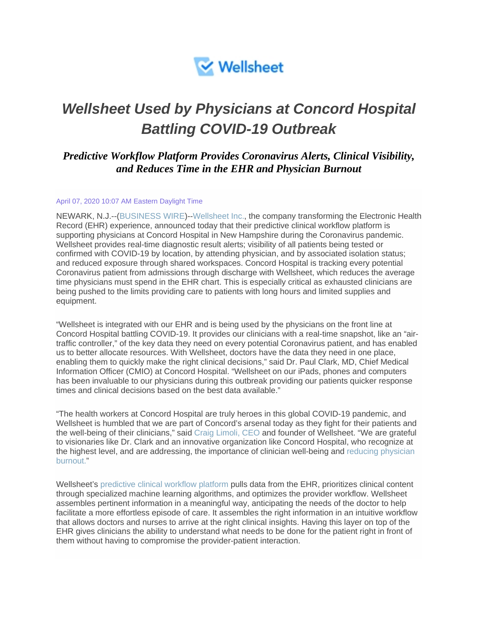

# *Wellsheet Used by Physicians at Concord Hospital Battling COVID-19 Outbreak*

## *Predictive Workflow Platform Provides Coronavirus Alerts, Clinical Visibility, and Reduces Time in the EHR and Physician Burnout*

#### April 07, 2020 10:07 AM Eastern Daylight Time

NEWARK, N.J.--[\(BUSINESS WIRE\)](https://www.businesswire.com/)-[-Wellsheet Inc.,](https://cts.businesswire.com/ct/CT?id=smartlink&url=http%3A%2F%2Fwww.wellsheet.com&esheet=52200158&newsitemid=20200407005423&lan=en-US&anchor=Wellsheet+Inc.&index=1&md5=3b74303e5f1224d7b7bd2099c31cb1ab) the company transforming the Electronic Health Record (EHR) experience, announced today that their predictive clinical workflow platform is supporting physicians at Concord Hospital in New Hampshire during the Coronavirus pandemic. Wellsheet provides real-time diagnostic result alerts; visibility of all patients being tested or confirmed with COVID-19 by location, by attending physician, and by associated isolation status; and reduced exposure through shared workspaces. Concord Hospital is tracking every potential Coronavirus patient from admissions through discharge with Wellsheet, which reduces the average time physicians must spend in the EHR chart. This is especially critical as exhausted clinicians are being pushed to the limits providing care to patients with long hours and limited supplies and equipment.

"Wellsheet is integrated with our EHR and is being used by the physicians on the front line at Concord Hospital battling COVID-19. It provides our clinicians with a real-time snapshot, like an "airtraffic controller," of the key data they need on every potential Coronavirus patient, and has enabled us to better allocate resources. With Wellsheet, doctors have the data they need in one place, enabling them to quickly make the right clinical decisions," said Dr. Paul Clark, MD, Chief Medical Information Officer (CMIO) at Concord Hospital. "Wellsheet on our iPads, phones and computers has been invaluable to our physicians during this outbreak providing our patients quicker response times and clinical decisions based on the best data available."

"The health workers at Concord Hospital are truly heroes in this global COVID-19 pandemic, and Wellsheet is humbled that we are part of Concord's arsenal today as they fight for their patients and the well-being of their clinicians," said [Craig Limoli, CEO](https://cts.businesswire.com/ct/CT?id=smartlink&url=https%3A%2F%2Fwww.linkedin.com%2Fin%2Fcraig-limoli%2F&esheet=52200158&newsitemid=20200407005423&lan=en-US&anchor=Craig+Limoli%2C+CEO&index=2&md5=6efefbc14f8bc7425492e0224bd00aee) and founder of Wellsheet. "We are grateful to visionaries like Dr. Clark and an innovative organization like Concord Hospital, who recognize at the highest level, and are addressing, the importance of clinician well-being and [reducing physician](https://cts.businesswire.com/ct/CT?id=smartlink&url=https%3A%2F%2Fwww.wellsheet.com%2Fdr-cassel-on-physician-wellness&esheet=52200158&newsitemid=20200407005423&lan=en-US&anchor=reducing+physician+burnout.&index=3&md5=9daf43a20fa5ba72fb46f3281d302647)  [burnout."](https://cts.businesswire.com/ct/CT?id=smartlink&url=https%3A%2F%2Fwww.wellsheet.com%2Fdr-cassel-on-physician-wellness&esheet=52200158&newsitemid=20200407005423&lan=en-US&anchor=reducing+physician+burnout.&index=3&md5=9daf43a20fa5ba72fb46f3281d302647)

Wellsheet's [predictive clinical workflow platform](https://cts.businesswire.com/ct/CT?id=smartlink&url=https%3A%2F%2Fwww.wellsheet.com%2Fproduct&esheet=52200158&newsitemid=20200407005423&lan=en-US&anchor=predictive+clinical+workflow+platform&index=4&md5=a73b6cfb9eea9942d26e943cbb1886e0) pulls data from the EHR, prioritizes clinical content through specialized machine learning algorithms, and optimizes the provider workflow. Wellsheet assembles pertinent information in a meaningful way, anticipating the needs of the doctor to help facilitate a more effortless episode of care. It assembles the right information in an intuitive workflow that allows doctors and nurses to arrive at the right clinical insights. Having this layer on top of the EHR gives clinicians the ability to understand what needs to be done for the patient right in front of them without having to compromise the provider-patient interaction.